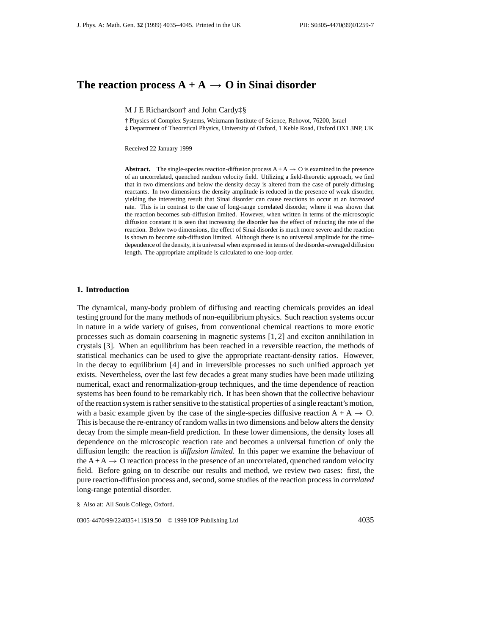# The reaction process  $A + A \rightarrow O$  in Sinai disorder

M J E Richardson† and John Cardy‡§

† Physics of Complex Systems, Weizmann Institute of Science, Rehovot, 76200, Israel

‡ Department of Theoretical Physics, University of Oxford, 1 Keble Road, Oxford OX1 3NP, UK

Received 22 January 1999

**Abstract.** The single-species reaction-diffusion process  $A + A \rightarrow O$  is examined in the presence of an uncorrelated, quenched random velocity field. Utilizing a field-theoretic approach, we find that in two dimensions and below the density decay is altered from the case of purely diffusing reactants. In two dimensions the density amplitude is reduced in the presence of weak disorder, yielding the interesting result that Sinai disorder can cause reactions to occur at an *increased* rate. This is in contrast to the case of long-range correlated disorder, where it was shown that the reaction becomes sub-diffusion limited. However, when written in terms of the microscopic diffusion constant it is seen that increasing the disorder has the effect of reducing the rate of the reaction. Below two dimensions, the effect of Sinai disorder is much more severe and the reaction is shown to become sub-diffusion limited. Although there is no universal amplitude for the timedependence of the density, it is universal when expressed in terms of the disorder-averaged diffusion length. The appropriate amplitude is calculated to one-loop order.

## **1. Introduction**

The dynamical, many-body problem of diffusing and reacting chemicals provides an ideal testing ground for the many methods of non-equilibrium physics. Such reaction systems occur in nature in a wide variety of guises, from conventional chemical reactions to more exotic processes such as domain coarsening in magnetic systems [1, 2] and exciton annihilation in crystals [3]. When an equilibrium has been reached in a reversible reaction, the methods of statistical mechanics can be used to give the appropriate reactant-density ratios. However, in the decay to equilibrium [4] and in irreversible processes no such unified approach yet exists. Nevertheless, over the last few decades a great many studies have been made utilizing numerical, exact and renormalization-group techniques, and the time dependence of reaction systems has been found to be remarkably rich. It has been shown that the collective behaviour of the reaction system is rather sensitive to the statistical properties of a single reactant's motion, with a basic example given by the case of the single-species diffusive reaction  $A + A \rightarrow O$ . This is because the re-entrancy of random walks in two dimensions and below alters the density decay from the simple mean-field prediction. In these lower dimensions, the density loses all dependence on the microscopic reaction rate and becomes a universal function of only the diffusion length: the reaction is *diffusion limited*. In this paper we examine the behaviour of the  $A + A \rightarrow O$  reaction process in the presence of an uncorrelated, quenched random velocity field. Before going on to describe our results and method, we review two cases: first, the pure reaction-diffusion process and, second, some studies of the reaction process in *correlated* long-range potential disorder.

§ Also at: All Souls College, Oxford.

0305-4470/99/224035+11\$19.50 © 1999 IOP Publishing Ltd 4035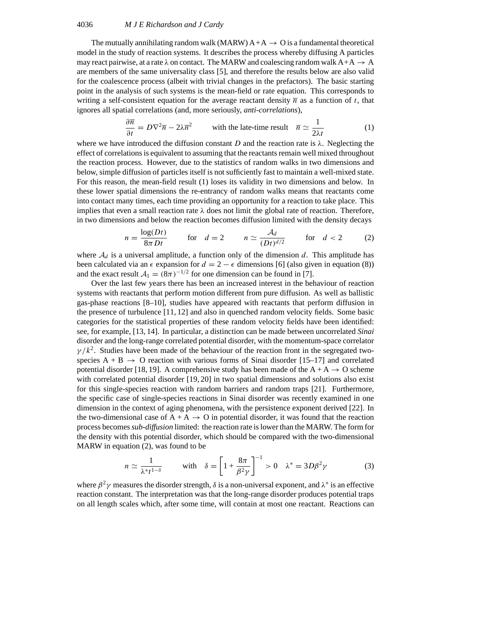## 4036 *M J E Richardson and J Cardy*

The mutually annihilating random walk (MARW)  $A + A \rightarrow O$  is a fundamental theoretical model in the study of reaction systems. It describes the process whereby diffusing A particles may react pairwise, at a rate  $\lambda$  on contact. The MARW and coalescing random walk  $A+A \rightarrow A$ are members of the same universality class [5], and therefore the results below are also valid for the coalescence process (albeit with trivial changes in the prefactors). The basic starting point in the analysis of such systems is the mean-field or rate equation. This corresponds to writing a self-consistent equation for the average reactant density  $\overline{n}$  as a function of *t*, that ignores all spatial correlations (and, more seriously, *anti-correlations*),

$$
\frac{\partial \overline{n}}{\partial t} = D\nabla^2 \overline{n} - 2\lambda \overline{n}^2 \qquad \text{with the late-time result} \quad \overline{n} \simeq \frac{1}{2\lambda t} \tag{1}
$$

where we have introduced the diffusion constant *D* and the reaction rate is  $\lambda$ . Neglecting the effect of correlations is equivalent to assuming that the reactants remain well mixed throughout the reaction process. However, due to the statistics of random walks in two dimensions and below, simple diffusion of particles itself is not sufficiently fast to maintain a well-mixed state. For this reason, the mean-field result (1) loses its validity in two dimensions and below. In these lower spatial dimensions the re-entrancy of random walks means that reactants come into contact many times, each time providing an opportunity for a reaction to take place. This implies that even a small reaction rate *λ* does not limit the global rate of reaction. Therefore, in two dimensions and below the reaction becomes diffusion limited with the density decays

$$
n = \frac{\log(Dt)}{8\pi Dt} \qquad \text{for} \quad d = 2 \qquad n \simeq \frac{\mathcal{A}_d}{(Dt)^{d/2}} \qquad \text{for} \quad d < 2 \tag{2}
$$

where  $A_d$  is a universal amplitude, a function only of the dimension d. This amplitude has been calculated via an  $\epsilon$  expansion for  $d = 2 - \epsilon$  dimensions [6] (also given in equation (8)) and the exact result  $A_1 = (8\pi)^{-1/2}$  for one dimension can be found in [7].

Over the last few years there has been an increased interest in the behaviour of reaction systems with reactants that perform motion different from pure diffusion. As well as ballistic gas-phase reactions [8–10], studies have appeared with reactants that perform diffusion in the presence of turbulence [11, 12] and also in quenched random velocity fields. Some basic categories for the statistical properties of these random velocity fields have been identified: see, for example, [13, 14]. In particular, a distinction can be made between uncorrelated *Sinai* disorder and the long-range correlated potential disorder, with the momentum-space correlator  $\gamma/k^2$ . Studies have been made of the behaviour of the reaction front in the segregated twospecies  $A + B \rightarrow O$  reaction with various forms of Sinai disorder [15–17] and correlated potential disorder [18, 19]. A comprehensive study has been made of the  $A + A \rightarrow O$  scheme with correlated potential disorder [19, 20] in two spatial dimensions and solutions also exist for this single-species reaction with random barriers and random traps [21]. Furthermore, the specific case of single-species reactions in Sinai disorder was recently examined in one dimension in the context of aging phenomena, with the persistence exponent derived [22]. In the two-dimensional case of  $A + A \rightarrow O$  in potential disorder, it was found that the reaction process becomes*sub-diffusion* limited: the reaction rate is lower than the MARW. The form for the density with this potential disorder, which should be compared with the two-dimensional MARW in equation (2), was found to be

$$
n \simeq \frac{1}{\lambda^* t^{1-\delta}} \qquad \text{with} \quad \delta = \left[1 + \frac{8\pi}{\beta^2 \gamma}\right]^{-1} > 0 \quad \lambda^* = 3D\beta^2 \gamma \tag{3}
$$

where  $\beta^2 \gamma$  measures the disorder strength,  $\delta$  is a non-universal exponent, and  $\lambda^*$  is an effective reaction constant. The interpretation was that the long-range disorder produces potential traps on all length scales which, after some time, will contain at most one reactant. Reactions can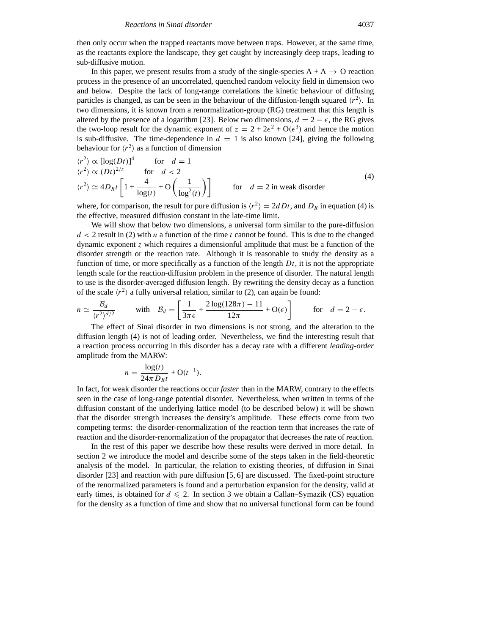then only occur when the trapped reactants move between traps. However, at the same time, as the reactants explore the landscape, they get caught by increasingly deep traps, leading to sub-diffusive motion.

In this paper, we present results from a study of the single-species  $A + A \rightarrow O$  reaction process in the presence of an uncorrelated, quenched random velocity field in dimension two and below. Despite the lack of long-range correlations the kinetic behaviour of diffusing particles is changed, as can be seen in the behaviour of the diffusion-length squared  $\langle r^2 \rangle$ . In two dimensions, it is known from a renormalization-group (RG) treatment that this length is altered by the presence of a logarithm [23]. Below two dimensions,  $d = 2 - \epsilon$ , the RG gives the two-loop result for the dynamic exponent of  $z = 2 + 2\epsilon^2 + O(\epsilon^3)$  and hence the motion is sub-diffusive. The time-dependence in  $d = 1$  is also known [24], giving the following

behavior for 
$$
\langle r^2 \rangle
$$
 as a function of dimension  
\n $\langle r^2 \rangle \propto [\log(Dt)]^4$  for  $d = 1$   
\n $\langle r^2 \rangle \propto (Dt)^{2/z}$  for  $d < 2$   
\n $\langle r^2 \rangle \simeq 4D_R t \left[ 1 + \frac{4}{\log(t)} + O\left(\frac{1}{\log^2(t)}\right) \right]$  for  $d = 2$  in weak disorder

where, for comparison, the result for pure diffusion is  $\langle r^2 \rangle = 2dDt$ , and  $D_R$  in equation (4) is the effective, measured diffusion constant in the late-time limit.

We will show that below two dimensions, a universal form similar to the pure-diffusion  $d < 2$  result in (2) with *n* a function of the time *t* cannot be found. This is due to the changed dynamic exponent *z* which requires a dimensionful amplitude that must be a function of the disorder strength or the reaction rate. Although it is reasonable to study the density as a function of time, or more specifically as a function of the length *Dt*, it is not the appropriate length scale for the reaction-diffusion problem in the presence of disorder. The natural length<br>to use is the disorder-averaged diffusion length. By rewriting the density decay as a function<br>of the scale  $\langle r^2 \rangle$  a fully to use is the disorder-averaged diffusion length. By rewriting the density decay as a function of the scale  $\langle r^2 \rangle$  a fully universal relation, similar to (2), can again be found:

$$
n \simeq \frac{\mathcal{B}_d}{\langle r^2 \rangle^{d/2}} \quad \text{with} \quad \mathcal{B}_d = \left[ \frac{1}{3\pi\epsilon} + \frac{2\log(128\pi) - 11}{12\pi} + \mathcal{O}(\epsilon) \right] \quad \text{for} \quad d = 2 - \epsilon.
$$

The effect of Sinai disorder in two dimensions is not strong, and the alteration to the diffusion length (4) is not of leading order. Nevertheless, we find the interesting result that a reaction process occurring in this disorder has a decay rate with a different *leading-order* amplitude from the MARW:

$$
n = \frac{\log(t)}{24\pi D_R t} + O(t^{-1}).
$$

In fact, for weak disorder the reactions occur *faster* than in the MARW, contrary to the effects seen in the case of long-range potential disorder. Nevertheless, when written in terms of the diffusion constant of the underlying lattice model (to be described below) it will be shown that the disorder strength increases the density's amplitude. These effects come from two competing terms: the disorder-renormalization of the reaction term that increases the rate of reaction and the disorder-renormalization of the propagator that decreases the rate of reaction.

In the rest of this paper we describe how these results were derived in more detail. In section 2 we introduce the model and describe some of the steps taken in the field-theoretic analysis of the model. In particular, the relation to existing theories, of diffusion in Sinai disorder [23] and reaction with pure diffusion [5, 6] are discussed. The fixed-point structure of the renormalized parameters is found and a perturbation expansion for the density, valid at early times, is obtained for  $d \le 2$ . In section 3 we obtain a Callan–Symazik (CS) equation for the density as a function of time and show that no universal functional form can be found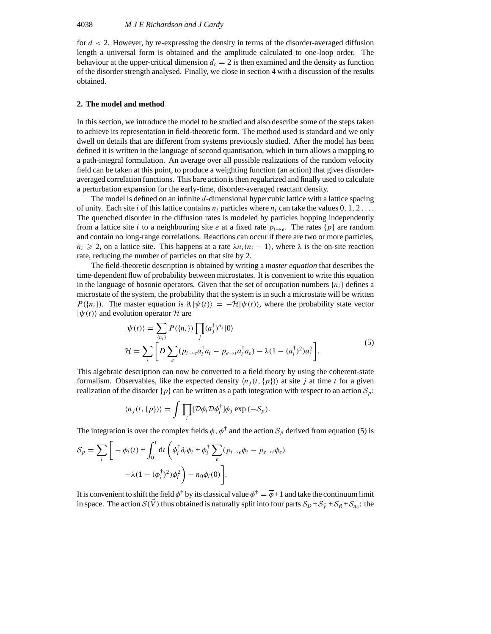for *d <* 2. However, by re-expressing the density in terms of the disorder-averaged diffusion length a universal form is obtained and the amplitude calculated to one-loop order. The behaviour at the upper-critical dimension  $d_c = 2$  is then examined and the density as function of the disorder strength analysed. Finally, we close in section 4 with a discussion of the results obtained.

#### **2. The model and method**

In this section, we introduce the model to be studied and also describe some of the steps taken to achieve its representation in field-theoretic form. The method used is standard and we only dwell on details that are different from systems previously studied. After the model has been defined it is written in the language of second quantisation, which in turn allows a mapping to a path-integral formulation. An average over all possible realizations of the random velocity field can be taken at this point, to produce a weighting function (an action) that gives disorderaveraged correlation functions. This bare action is then regularized and finally used to calculate a perturbation expansion for the early-time, disorder-averaged reactant density.

The model is defined on an infinite *d*-dimensional hypercubic lattice with a lattice spacing of unity. Each site *i* of this lattice contains  $n_i$  particles where  $n_i$  can take the values 0, 1, 2... The quenched disorder in the diffusion rates is modeled by particles hopping independently from a lattice site *i* to a neighbouring site *e* at a fixed rate  $p_i \rightarrow e$ . The rates  $\{p\}$  are random and contain no long-range correlations. Reactions can occur if there are two or more particles,  $n_i \geq 2$ , on a lattice site. This happens at a rate  $\lambda n_i(n_i - 1)$ , where  $\lambda$  is the on-site reaction rate, reducing the number of particles on that site by 2.

The field-theoretic description is obtained by writing a *master equation* that describes the time-dependent flow of probability between microstates. It is convenient to write this equation in the language of bosonic operators. Given that the set of occupation numbers  $\{n_i\}$  defines a microstate of the system, the probability that the system is in such a microstate will be written  $P(\lbrace n_i \rbrace)$ . The master equation is  $\partial_t |\psi(t)\rangle = -\mathcal{H} |\psi(t)\rangle$ , where the probability state vector  $|\psi(t)\rangle$  and evolution operat *P*({*n<sub>i</sub>*}). The master equation is  $\partial_t |\psi(t)\rangle = -\mathcal{H}|\psi(t)\rangle$ , where the probability state vector  $|\psi(t)\rangle$  and evolution operator *H* are

$$
|\psi(t)\rangle \text{ and evolution operator } \mathcal{H} \text{ are}
$$
  
\n
$$
|\psi(t)\rangle = \sum_{\{n_i\}} P(\{n_i\}) \prod_j (a_j^{\dagger})^{n_j} |0\rangle
$$
  
\n
$$
\mathcal{H} = \sum_i \left[ D \sum_e (p_{i \to e} a_i^{\dagger} a_i - p_{e \to i} a_i^{\dagger} a_e) - \lambda (1 - (a_i^{\dagger})^2) a_i^2 \right].
$$
\n(5)

This algebraic description can now be converted to a field theory by using the coherent-state formalism. Observables, like the expected density  $\langle n_i(t, \{p\})\rangle$  at site *j* at time *t* for a given realization of the disorder  $\{p\}$  can be written as a path integration with respect to an action  $S_p$ : description can now l<br>servables, like the ex-<br>he disorder  $\{p\}$  can be<br> $\langle n_j(t, \{p\}) \rangle = \int \prod$ 

$$
\langle n_j(t,\{p\})\rangle = \int \prod_i [\mathcal{D}\phi_i \mathcal{D}\phi_i^{\dagger}] \phi_j \exp(-\mathcal{S}_p).
$$

The integration is over the complex fields  $\phi$ ,  $\phi^{\dagger}$  and the action  $S_p$  derived from equation (5) is  $\mathbf{e}$ x neigs  $\varphi, \varphi$ 

$$
\langle n_j(t, \mathbf{v}_j(t), \mathbf{v}_j(t)) \rangle = \int \mathbf{1}_i [\mathbf{v}_j \mathbf{v}_i \mathbf{v}_j \mathbf{v}_j] \mathbf{v}_j \exp(-\mathbf{v}_p).
$$
  
The integration is over the complex fields  $\phi$ ,  $\phi^\dagger$  and the action  $S_p$   

$$
S_p = \sum_i \left[ -\phi_i(t) + \int_0^t dt \left( \phi_i^\dagger \partial_t \phi_i + \phi_i^\dagger \sum_e (p_{i \to e} \phi_i - p_{e \to i} \phi_e) -\lambda (1 - (\phi_i^\dagger)^2) \phi_i^2 \right) - n_0 \phi_i(0) \right].
$$

It is convenient to shift the field  $\phi^{\dagger}$  by its classical value  $\phi^{\dagger} = \overline{\phi} + 1$  and take the continuum limit in space. The action  $S(\bar{V})$  thus obtained is naturally split into four parts  $S_D + S_{\vec{V}} + S_R + S_{n_0}$ : the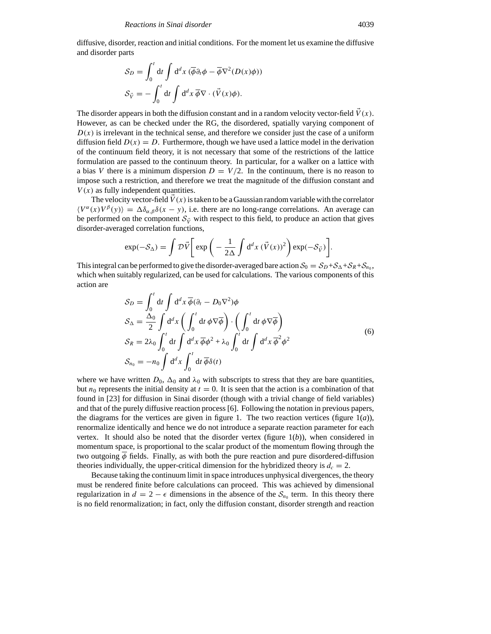diffusive, disorder, reaction and initial conditions. For the moment let us examine the diffusive and disorder parts

$$
\begin{aligned} \n\text{arts} \\ \n\mathcal{S}_D &= \int_0^t \mathrm{d}t \int \mathrm{d}^d x \, (\overline{\phi} \partial_t \phi - \overline{\phi} \nabla^2 (D(x)\phi)) \\ \n\mathcal{S}_{\vec{V}} &= -\int_0^t \mathrm{d}t \int \mathrm{d}^d x \, \overline{\phi} \nabla \cdot (\vec{V}(x)\phi). \n\end{aligned}
$$

The disorder appears in both the diffusion constant and in a random velocity vector-field  $\vec{V}(x)$ . However, as can be checked under the RG, the disordered, spatially varying component of  $D(x)$  is irrelevant in the technical sense, and therefore we consider just the case of a uniform diffusion field  $D(x) = D$ . Furthermore, though we have used a lattice model in the derivation of the continuum field theory, it is not necessary that some of the restrictions of the lattice formulation are passed to the continuum theory. In particular, for a walker on a lattice with a bias *V* there is a minimum dispersion  $D = V/2$ . In the continuum, there is no reason to impose such a restriction, and therefore we treat the magnitude of the diffusion constant and  $V(x)$  as fully independent quantities.

The velocity vector-field  $\tilde{V}(x)$  is taken to be a Gaussian random variable with the correlator  $\langle V^{\alpha}(x)V^{\beta}(y) \rangle = \Delta \delta_{\alpha,\beta} \delta(x - y)$ , i.e. there are no long-range correlations. An average can<br>be performed on the component  $S_{\vec{V}}$  with respect to this field, to produce an action that gives<br>disorder-averaged correla be performed on the component  $S_{\vec{V}}$  with respect to this field, to produce an action that gives disorder-averaged correlation functions,

$$
\exp(-\mathcal{S}_{\Delta}) = \int \mathcal{D}\vec{V} \bigg[ \exp\bigg(-\frac{1}{2\Delta} \int d^d x \, (\vec{V}(x))^2 \bigg) \exp(-\mathcal{S}_{\vec{V}}) \bigg].
$$

This integral can be performed to give the disorder-averaged bare action  $S_0 = S_D + S_\Delta + S_R + S_{n_0}$ , which when suitably regularized, can be used for calculations. The various components of this action are action are

$$
S_D = \int_0^t dt \int d^d x \overline{\phi} (\partial_t - D_0 \nabla^2) \phi
$$
  
\n
$$
S_{\Delta} = \frac{\Delta_0}{2} \int d^d x \left( \int_0^t dt \phi \nabla \overline{\phi} \right) \cdot \left( \int_0^t dt \phi \nabla \overline{\phi} \right)
$$
  
\n
$$
S_R = 2\lambda_0 \int_0^t dt \int d^d x \overline{\phi} \phi^2 + \lambda_0 \int_0^t dt \int d^d x \overline{\phi}^2 \phi^2
$$
  
\n
$$
S_{n_0} = -n_0 \int d^d x \int_0^t dt \overline{\phi} \delta(t)
$$
\n(6)

where we have written  $D_0$ ,  $\Delta_0$  and  $\lambda_0$  with subscripts to stress that they are bare quantities, but  $n_0$  represents the initial density at  $t = 0$ . It is seen that the action is a combination of that found in [23] for diffusion in Sinai disorder (though with a trivial change of field variables) and that of the purely diffusive reaction process [6]. Following the notation in previous papers, the diagrams for the vertices are given in figure 1. The two reaction vertices (figure  $1(a)$ ), renormalize identically and hence we do not introduce a separate reaction parameter for each vertex. It should also be noted that the disorder vertex (figure 1(*b*)), when considered in momentum space, is proportional to the scalar product of the momentum flowing through the two outgoing *φ* fields. Finally, as with both the pure reaction and pure disordered-diffusion theories individually, the upper-critical dimension for the hybridized theory is  $d_c = 2$ .

Because taking the continuum limit in space introduces unphysical divergences, the theory must be rendered finite before calculations can proceed. This was achieved by dimensional regularization in  $d = 2 - \epsilon$  dimensions in the absence of the  $S_{n_0}$  term. In this theory there is no field renormalization; in fact, only the diffusion constant, disorder strength and reaction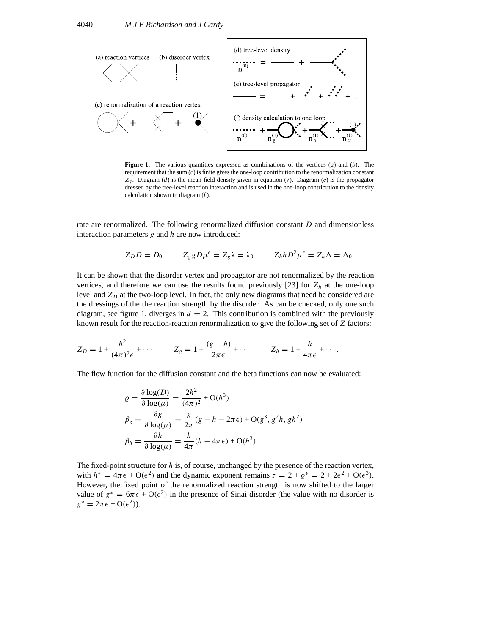

**Figure 1.** The various quantities expressed as combinations of the vertices (*a*) and (*b*). The requirement that the sum (*c*) is finite gives the one-loop contribution to the renormalization constant *Zg*. Diagram (*d*) is the mean-field density given in equation (7). Diagram (*e*) is the propagator dressed by the tree-level reaction interaction and is used in the one-loop contribution to the density calculation shown in diagram (*f* ).

rate are renormalized. The following renormalized diffusion constant *D* and dimensionless interaction parameters *g* and *h* are now introduced:

$$
Z_D D = D_0 \t Z_g g D \mu^{\epsilon} = Z_g \lambda = \lambda_0 \t Z_h h D^2 \mu^{\epsilon} = Z_h \Delta = \Delta_0.
$$

It can be shown that the disorder vertex and propagator are not renormalized by the reaction vertices, and therefore we can use the results found previously [23] for  $Z_h$  at the one-loop level and  $Z_D$  at the two-loop level. In fact, the only new diagrams that need be considered are the dressings of the the reaction strength by the disorder. As can be checked, only one such diagram, see figure 1, diverges in  $d = 2$ . This contribution is combined with the previously known result for the reaction-reaction renormalization to give the following set of *Z* factors:

$$
Z_D = 1 + \frac{h^2}{(4\pi)^2 \epsilon} + \cdots \qquad Z_g = 1 + \frac{(g-h)}{2\pi \epsilon} + \cdots \qquad Z_h = 1 + \frac{h}{4\pi \epsilon} + \cdots.
$$

The flow function for the diffusion constant and the beta functions can now be evaluated:

$$
\varrho = \frac{\partial \log(D)}{\partial \log(\mu)} = \frac{2h^2}{(4\pi)^2} + \mathcal{O}(h^3)
$$
  
\n
$$
\beta_g = \frac{\partial g}{\partial \log(\mu)} = \frac{g}{2\pi} (g - h - 2\pi\epsilon) + \mathcal{O}(g^3, g^2 h, gh^2)
$$
  
\n
$$
\beta_h = \frac{\partial h}{\partial \log(\mu)} = \frac{h}{4\pi} (h - 4\pi\epsilon) + \mathcal{O}(h^3).
$$

The fixed-point structure for *h* is, of course, unchanged by the presence of the reaction vertex, with  $h^* = 4\pi\epsilon + O(\epsilon^2)$  and the dynamic exponent remains  $z = 2 + \varrho^* = 2 + 2\epsilon^2 + O(\epsilon^3)$ . However, the fixed point of the renormalized reaction strength is now shifted to the larger value of  $g^* = 6\pi\epsilon + O(\epsilon^2)$  in the presence of Sinai disorder (the value with no disorder is  $g^* = 2\pi \epsilon + O(\epsilon^2)$ ).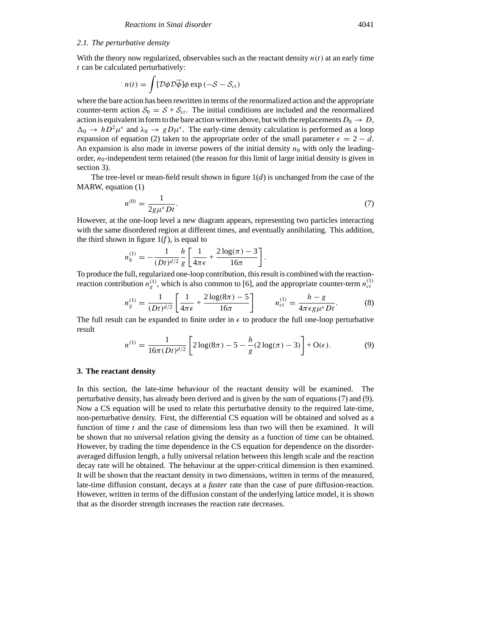## *2.1. The perturbative density* Z

With the theory now regularized, observables such as the reactant density  $n(t)$  at an early time *t* can be calculated perturbatively:

$$
n(t) = \int [\mathcal{D}\phi \mathcal{D}\overline{\phi}] \phi \exp(-S - S_{ct})
$$

where the bare action has been rewritten in terms of the renormalized action and the appropriate counter-term action  $S_0 = S + S_{ct}$ . The initial conditions are included and the renormalized action is equivalent in form to the bare action written above, but with the replacements  $D_0 \rightarrow D$ ,  $\Delta_0 \to hD^2\mu^{\epsilon}$  and  $\lambda_0 \to gD\mu^{\epsilon}$ . The early-time density calculation is performed as a loop expansion of equation (2) taken to the appropriate order of the small parameter  $\epsilon = 2 - d$ . An expansion is also made in inverse powers of the initial density  $n<sub>0</sub>$  with only the leadingorder,  $n_0$ -independent term retained (the reason for this limit of large initial density is given in section 3).

The tree-level or mean-field result shown in figure  $1(d)$  is unchanged from the case of the MARW, equation (1)

$$
n^{(0)} = \frac{1}{2g\mu^{\epsilon}Dt}.
$$
\n(7)

However, at the one-loop level a new diagram appears, representing two particles interacting with the same disordered region at different times, and eventually annihilating. This addition, the third shown in figure  $1(f)$ , is equal to

$$
n_h^{(1)} = -\frac{1}{(Dt)^{d/2}} \frac{h}{g} \left[ \frac{1}{4\pi\epsilon} + \frac{2\log(\pi) - 3}{16\pi} \right]
$$

To produce the full, regularized one-loop contribution, this result is combined with the reactionreaction contribution  $n_g^{(1)}$ , which is also common to [6], and the appropriate counter-term  $n_{ct}^{(1)}$ 

$$
n_g^{(1)} = \frac{1}{(Dt)^{d/2}} \left[ \frac{1}{4\pi\epsilon} + \frac{2\log(8\pi) - 5}{16\pi} \right] \qquad n_{ct}^{(1)} = \frac{h - g}{4\pi\epsilon g\mu^{\epsilon}Dt}.
$$
 (8)

*.*

The full result can be expanded to finite order in  $\epsilon$  to produce the full one-loop perturbative result

$$
n^{(1)} = \frac{1}{16\pi (Dt)^{d/2}} \left[ 2\log(8\pi) - 5 - \frac{h}{g} (2\log(\pi) - 3) \right] + O(\epsilon).
$$
 (9)

#### **3. The reactant density**

In this section, the late-time behaviour of the reactant density will be examined. The perturbative density, has already been derived and is given by the sum of equations (7) and (9). Now a CS equation will be used to relate this perturbative density to the required late-time, non-perturbative density. First, the differential CS equation will be obtained and solved as a function of time  $t$  and the case of dimensions less than two will then be examined. It will be shown that no universal relation giving the density as a function of time can be obtained. However, by trading the time dependence in the CS equation for dependence on the disorderaveraged diffusion length, a fully universal relation between this length scale and the reaction decay rate will be obtained. The behaviour at the upper-critical dimension is then examined. It will be shown that the reactant density in two dimensions, written in terms of the measured, late-time diffusion constant, decays at a *faster* rate than the case of pure diffusion-reaction. However, written in terms of the diffusion constant of the underlying lattice model, it is shown that as the disorder strength increases the reaction rate decreases.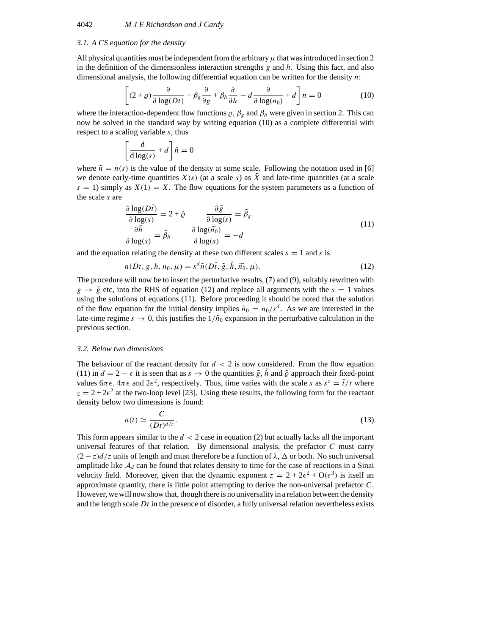#### *3.1. A CS equation for the density*

All physical quantities must be independent from the arbitrary  $\mu$  that was introduced in section 2 in the definition of the dimensionless interaction strengths *g* and *h*. Using this fact, and also dimensional analysis, the following differential equation can be written for the density *n*:

$$
\left[ (2+\varrho)\frac{\partial}{\partial \log(Dt)} + \beta_g \frac{\partial}{\partial g} + \beta_h \frac{\partial}{\partial h} - d \frac{\partial}{\partial \log(n_0)} + d \right] n = 0 \tag{10}
$$

where the interaction-dependent flow functions  $\varrho$ ,  $\beta_g$  and  $\beta_h$  were given in section 2. This can now be solved in the standard way by writing equation (10) as a complete differential with respect to a scaling variable *s*, thus

$$
\left[\frac{\mathrm{d}}{\mathrm{d}\log(s)} + d\right]\tilde{n} = 0
$$

where  $\tilde{n} = n(s)$  is the value of the density at some scale. Following the notation used in [6] we denote early-time quantities  $X(s)$  (at a scale  $s$ ) as  $\overline{X}$  and late-time quantities (at a scale  $s = 1$ ) simply as  $X(1) = X$ . The flow equations for the system parameters as a function of the scale *s* are

$$
\frac{\partial \log(D\tilde{t})}{\partial \log(s)} = 2 + \tilde{\varrho} \qquad \frac{\partial \tilde{g}}{\partial \log(s)} = \tilde{\beta}_{g}
$$
\n
$$
\frac{\partial \tilde{h}}{\partial \log(s)} = \tilde{\beta}_{h} \qquad \frac{\partial \log(\tilde{n_{0}})}{\partial \log(s)} = -d
$$
\nIn relating the density at these two different scales  $s = 1$  and  $s$  is\n
$$
n(Dt, g, h, n_{0}, \mu) = s^{d} \tilde{n}(D\tilde{t}, \tilde{g}, \tilde{h}, \tilde{n_{0}}, \mu).
$$
\n(12)

and the equation relating the density at these two different scales  $s = 1$  and  $s$  is

$$
a(Dt, g, h, n_0, \mu) = s^d \tilde{n}(D\tilde{t}, \tilde{g}, h, \tilde{n_0}, \mu).
$$
\n(12)

The procedure will now be to insert the perturbative results, (7) and (9), suitably rewritten with  $g \rightarrow \tilde{g}$  etc, into the RHS of equation (12) and replace all arguments with the  $s = 1$  values using the solutions of equations (11). Before proceeding it should be noted that the solution of the flow equation for the initial density implies  $\tilde{n}_0 = n_0/s^d$ . As we are interested in the late-time regime  $s \to 0$ , this justifies the  $1/\tilde{n}_0$  expansion in the perturbative calculation in the previous section.

#### *3.2. Below two dimensions*

The behaviour of the reactant density for  $d < 2$  is now considered. From the flow equation (11) in  $d = 2 - \epsilon$  it is seen that as  $s \to 0$  the quantities  $\tilde{g}$ , *h* and  $\tilde{\rho}$  approach their fixed-point values  $6\pi\epsilon$ ,  $4\pi\epsilon$  and  $2\epsilon^2$ , respectively. Thus, time varies with the scale *s* as  $s^z = \tilde{t}/t$  where  $z = 2 + 2\epsilon^2$  at the two-loop level [23]. Using these results, the following form for the reactant density below two dimensions is found:

$$
n(t) \simeq \frac{C}{(Dt)^{d/z}}.\tag{13}
$$

This form appears similar to the *d <* 2 case in equation (2) but actually lacks all the important universal features of that relation. By dimensional analysis, the prefactor *C* must carry  $(2 - z)d/z$  units of length and must therefore be a function of  $\lambda$ ,  $\Delta$  or both. No such universal amplitude like  $A_d$  can be found that relates density to time for the case of reactions in a Sinai velocity field. Moreover, given that the dynamic exponent  $z = 2 + 2\epsilon^2 + O(\epsilon^3)$  is itself an approximate quantity, there is little point attempting to derive the non-universal prefactor *C*. However, we will now show that, though there is no universality in a relation between the density and the length scale *Dt* in the presence of disorder, a fully universal relation nevertheless exists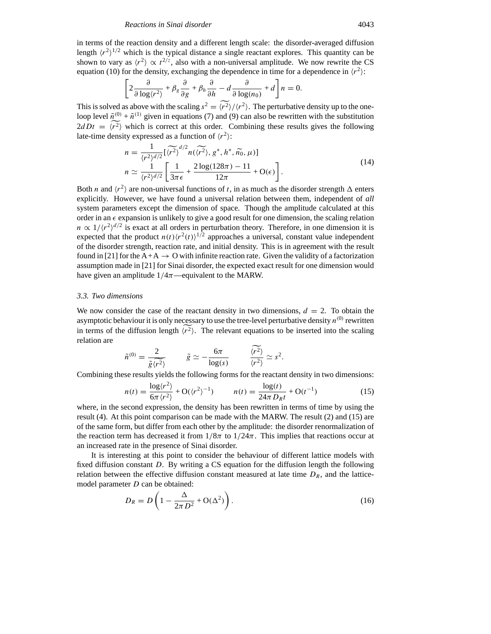in terms of the reaction density and a different length scale: the disorder-averaged diffusion length  $\langle r^2 \rangle^{1/2}$  which is the typical distance a single reactant explores. This quantity can be shown to vary as  $\langle r^2 \rangle \propto t^{2/z}$ , also with a non-universal amplitude. We now rewrite the CS equation (10) for the density, exchanging the dependence in time for a dependence in  $\langle r^2 \rangle$ :

$$
\left[2\frac{\partial}{\partial \log(r^2)} + \beta_g \frac{\partial}{\partial g} + \beta_h \frac{\partial}{\partial h} - d \frac{\partial}{\partial \log(n_0)} + d\right] n = 0.
$$

This is solved as above with the scaling  $s^2 = \langle r^2 \rangle / \langle r^2 \rangle$ . The perturbative density up to the oneloop level  $\tilde{n}^{(0)} + \tilde{n}^{(1)}$  given in equations (7) and (9) can also be rewritten with the substitution  $2dDt = \langle r^2 \rangle$  which is correct at this order. Combining these results gives the following late-time density expressed as a function of  $\langle r^2 \rangle$ :<br>  $n = \frac{1}{\langle r^2 \rangle^{\langle d/2 \rangle}} [(\overline{r^2})^{\langle d/2 \rangle} n(\overline{\langle r^2 \rangle}, g^*, h^*, \overline{n_0}, \mu)]$ Latitude  $\mu = \sqrt{r}$  which is concert at this order.

When is correct at this order. Combining these results gives the following

\nity expressed as a function of 
$$
\langle r^2 \rangle
$$
:

\n
$$
n = \frac{1}{\langle r^2 \rangle^{d/2}} \left[ \langle \widetilde{r^2} \rangle^{d/2} n(\langle \widetilde{r^2} \rangle, g^*, h^*, \widetilde{n_0}, \mu) \right]
$$

\n
$$
n \simeq \frac{1}{\langle r^2 \rangle^{d/2}} \left[ \frac{1}{3\pi\epsilon} + \frac{2 \log(128\pi) - 11}{12\pi} + \mathcal{O}(\epsilon) \right].
$$

Both *n* and  $\langle r^2 \rangle$  are non-universal functions of *t*, in as much as the disorder strength  $\Delta$  enters explicitly. However, we have found a universal relation between them, independent of *all* system parameters except the dimension of space. Though the amplitude calculated at this order in an  $\epsilon$  expansion is unlikely to give a good result for one dimension, the scaling relation  $n \propto 1/(r^2)^{d/2}$  is exact at all orders in perturbation theory. Therefore, in one dimension it is expected that the product  $n(t)/(r^2(t))$ <sup>1/2</sup> approaches a universal, constant value independent of the disorder strength, reaction rate, and initial density. This is in agreement with the result found in [21] for the  $A+A \rightarrow O$  with infinite reaction rate. Given the validity of a factorization assumption made in [21] for Sinai disorder, the expected exact result for one dimension would have given an amplitude 1*/*4*π*—equivalent to the MARW.

#### *3.3. Two dimensions*

We now consider the case of the reactant density in two dimensions,  $d = 2$ . To obtain the asymptotic behaviour it is only necessary to use the tree-level perturbative density  $n^{(0)}$  rewritten in terms of the diffusion length  $\langle r^2 \rangle$ . The relevant equations to be inserted into the scaling relation are

$$
\tilde{n}^{(0)} = \frac{2}{\tilde{g}(r^2)} \qquad \tilde{g} \simeq -\frac{6\pi}{\log(s)} \qquad \frac{\langle r^2 \rangle}{\langle r^2 \rangle} \simeq s^2.
$$

Combining these results yields the following forms for the reactant density in two dimensions:

$$
n(t) = \frac{\log \langle r^2 \rangle}{6\pi \langle r^2 \rangle} + \mathcal{O}(\langle r^2 \rangle^{-1}) \qquad n(t) = \frac{\log(t)}{24\pi D_R t} + \mathcal{O}(t^{-1}) \tag{15}
$$

where, in the second expression, the density has been rewritten in terms of time by using the result (4). At this point comparison can be made with the MARW. The result (2) and (15) are of the same form, but differ from each other by the amplitude: the disorder renormalization of the reaction term has decreased it from  $1/8\pi$  to  $1/24\pi$ . This implies that reactions occur at an increased rate in the presence of Sinai disorder.

It is interesting at this point to consider the behaviour of different lattice models with fixed diffusion constant *D*. By writing a CS equation for the diffusion length the following relation between the effective diffusion constant measured at late time  $D_R$ , and the latticemodel parameter *D* can be obtained:

$$
D_R = D\left(1 - \frac{\Delta}{2\pi D^2} + O(\Delta^2)\right). \tag{16}
$$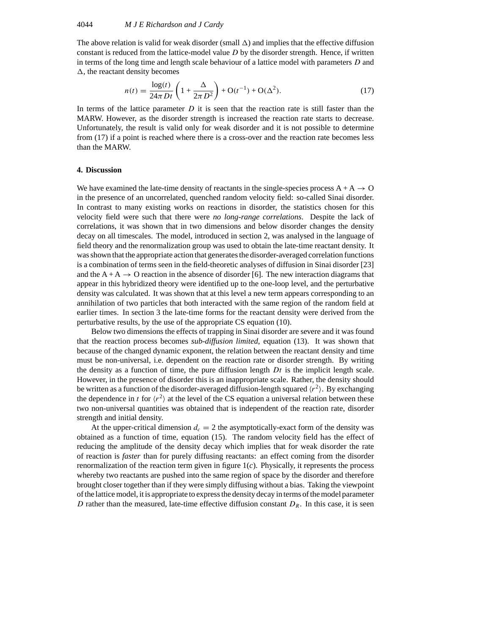## 4044 *M J E Richardson and J Cardy*

The above relation is valid for weak disorder (small  $\Delta$ ) and implies that the effective diffusion constant is reduced from the lattice-model value *D* by the disorder strength. Hence, if written<br>in terms of the long time and length scale behaviour of a lattice model with parameters *D* and<br> $\Delta$ , the reactant density b in terms of the long time and length scale behaviour of a lattice model with parameters *D* and  $\Delta$ , the reactant density becomes

$$
n(t) = \frac{\log(t)}{24\pi Dt} \left( 1 + \frac{\Delta}{2\pi D^2} \right) + O(t^{-1}) + O(\Delta^2).
$$
 (17)

In terms of the lattice parameter *D* it is seen that the reaction rate is still faster than the MARW. However, as the disorder strength is increased the reaction rate starts to decrease. Unfortunately, the result is valid only for weak disorder and it is not possible to determine from (17) if a point is reached where there is a cross-over and the reaction rate becomes less than the MARW.

#### **4. Discussion**

We have examined the late-time density of reactants in the single-species process  $A + A \rightarrow O$ in the presence of an uncorrelated, quenched random velocity field: so-called Sinai disorder. In contrast to many existing works on reactions in disorder, the statistics chosen for this velocity field were such that there were *no long-range correlations*. Despite the lack of correlations, it was shown that in two dimensions and below disorder changes the density decay on all timescales. The model, introduced in section 2, was analysed in the language of field theory and the renormalization group was used to obtain the late-time reactant density. It was shown that the appropriate action that generates the disorder-averaged correlation functions is a combination of terms seen in the field-theoretic analyses of diffusion in Sinai disorder [23] and the  $A + A \rightarrow O$  reaction in the absence of disorder [6]. The new interaction diagrams that appear in this hybridized theory were identified up to the one-loop level, and the perturbative density was calculated. It was shown that at this level a new term appears corresponding to an annihilation of two particles that both interacted with the same region of the random field at earlier times. In section 3 the late-time forms for the reactant density were derived from the perturbative results, by the use of the appropriate CS equation (10).

Below two dimensions the effects of trapping in Sinai disorder are severe and it was found that the reaction process becomes *sub-diffusion limited*, equation (13). It was shown that because of the changed dynamic exponent, the relation between the reactant density and time must be non-universal, i.e. dependent on the reaction rate or disorder strength. By writing the density as a function of time, the pure diffusion length  $Dt$  is the implicit length scale. However, in the presence of disorder this is an inappropriate scale. Rather, the density should be written as a function of the disorder-averaged diffusion-length squared  $\langle r^2 \rangle$ . By exchanging the dependence in *t* for  $\langle r^2 \rangle$  at the level of the CS equation a universal relation between these two non-universal quantities was obtained that is independent of the reaction rate, disorder strength and initial density.

At the upper-critical dimension  $d_c = 2$  the asymptotically-exact form of the density was obtained as a function of time, equation (15). The random velocity field has the effect of reducing the amplitude of the density decay which implies that for weak disorder the rate of reaction is *faster* than for purely diffusing reactants: an effect coming from the disorder renormalization of the reaction term given in figure 1(*c*). Physically, it represents the process whereby two reactants are pushed into the same region of space by the disorder and therefore brought closer together than if they were simply diffusing without a bias. Taking the viewpoint of the lattice model, it is appropriate to express the density decay in terms of the model parameter *D* rather than the measured, late-time effective diffusion constant  $D_R$ . In this case, it is seen